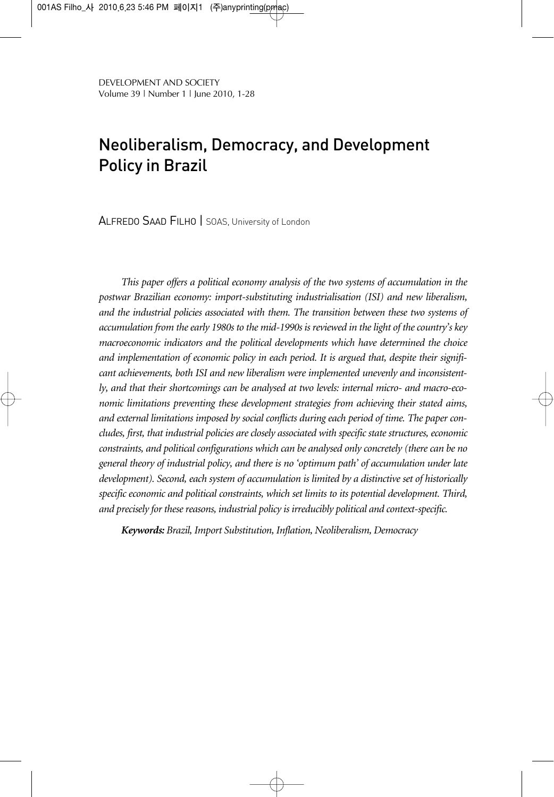# Neoliberalism, Democracy, and Development Policy in Brazil

ALFREDO SAAD FILHO | SOAS, University of London

*This paper offers a political economy analysis of the two systems of accumulation in the postwar Brazilian economy: import-substituting industrialisation (ISI) and new liberalism, and the industrial policies associated with them. The transition between these two systems of accumulation from the early 1980s to the mid-1990s is reviewed in the light of the country's key macroeconomic indicators and the political developments which have determined the choice and implementation of economic policy in each period. It is argued that, despite their significant achievements, both ISI and new liberalism were implemented unevenly and inconsistently, and that their shortcomings can be analysed at two levels: internal micro- and macro-economic limitations preventing these development strategies from achieving their stated aims, and external limitations imposed by social conflicts during each period of time. The paper concludes, first, that industrial policies are closely associated with specific state structures, economic constraints, and political configurations which can be analysed only concretely (there can be no general theory of industrial policy, and there is no 'optimum path' of accumulation under late development). Second, each system of accumulation is limited by a distinctive set of historically specific economic and political constraints, which set limits to its potential development. Third, and precisely for these reasons, industrial policy is irreducibly political and context-specific.*

*Keywords: Brazil, Import Substitution, Inflation, Neoliberalism, Democracy*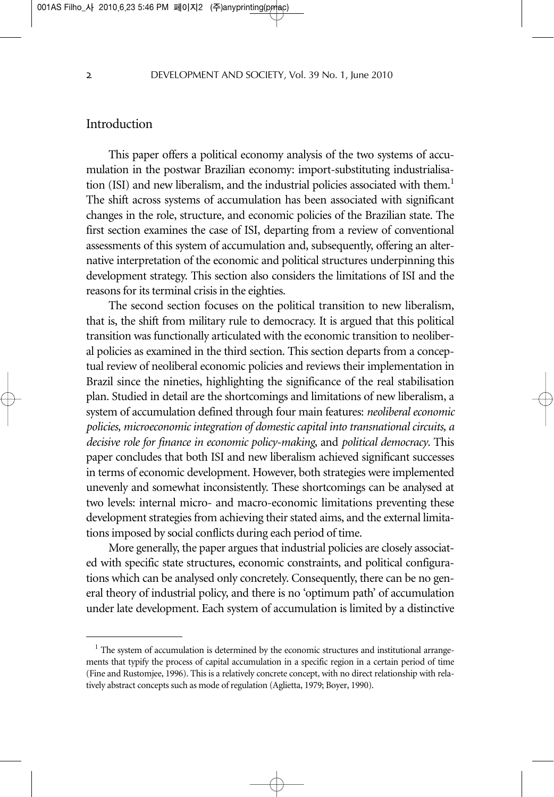# Introduction

This paper offers a political economy analysis of the two systems of accumulation in the postwar Brazilian economy: import-substituting industrialisation (ISI) and new liberalism, and the industrial policies associated with them.<sup>1</sup> The shift across systems of accumulation has been associated with significant changes in the role, structure, and economic policies of the Brazilian state. The first section examines the case of ISI, departing from a review of conventional assessments of this system of accumulation and, subsequently, offering an alternative interpretation of the economic and political structures underpinning this development strategy. This section also considers the limitations of ISI and the reasons for its terminal crisis in the eighties.

The second section focuses on the political transition to new liberalism, that is, the shift from military rule to democracy. It is argued that this political transition was functionally articulated with the economic transition to neoliberal policies as examined in the third section. This section departs from a conceptual review of neoliberal economic policies and reviews their implementation in Brazil since the nineties, highlighting the significance of the real stabilisation plan. Studied in detail are the shortcomings and limitations of new liberalism, a system of accumulation defined through four main features: *neoliberal economic policies, microeconomic integration of domestic capital into transnational circuits, a decisive role for finance in economic policy-making*, and *political democracy*. This paper concludes that both ISI and new liberalism achieved significant successes in terms of economic development. However, both strategies were implemented unevenly and somewhat inconsistently. These shortcomings can be analysed at two levels: internal micro- and macro-economic limitations preventing these development strategies from achieving their stated aims, and the external limitations imposed by social conflicts during each period of time.

More generally, the paper argues that industrial policies are closely associated with specific state structures, economic constraints, and political configurations which can be analysed only concretely. Consequently, there can be no general theory of industrial policy, and there is no 'optimum path' of accumulation under late development. Each system of accumulation is limited by a distinctive

 $1$  The system of accumulation is determined by the economic structures and institutional arrangements that typify the process of capital accumulation in a specific region in a certain period of time (Fine and Rustomjee, 1996). This is a relatively concrete concept, with no direct relationship with relatively abstract concepts such as mode of regulation (Aglietta, 1979; Boyer, 1990).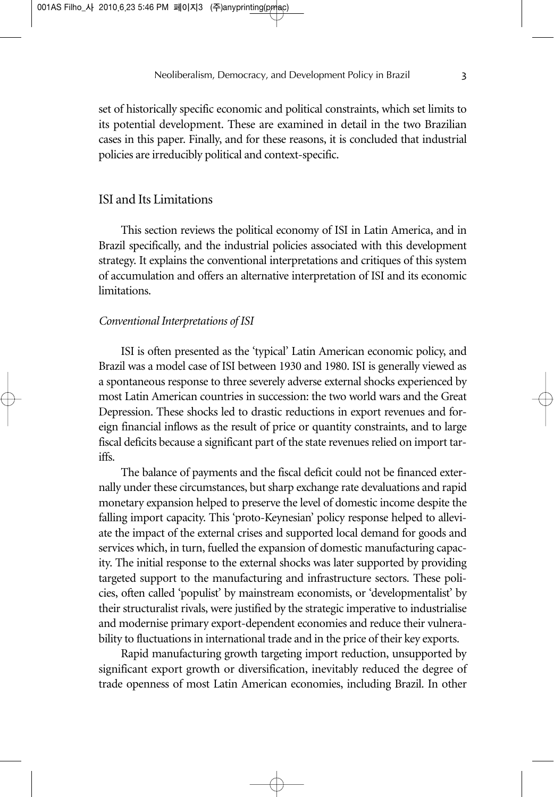set of historically specific economic and political constraints, which set limits to its potential development. These are examined in detail in the two Brazilian cases in this paper. Finally, and for these reasons, it is concluded that industrial policies are irreducibly political and context-specific.

# ISI and Its Limitations

This section reviews the political economy of ISI in Latin America, and in Brazil specifically, and the industrial policies associated with this development strategy. It explains the conventional interpretations and critiques of this system of accumulation and offers an alternative interpretation of ISI and its economic limitations.

## *Conventional Interpretations of ISI*

ISI is often presented as the 'typical' Latin American economic policy, and Brazil was a model case of ISI between 1930 and 1980. ISI is generally viewed as a spontaneous response to three severely adverse external shocks experienced by most Latin American countries in succession: the two world wars and the Great Depression. These shocks led to drastic reductions in export revenues and foreign financial inflows as the result of price or quantity constraints, and to large fiscal deficits because a significant part of the state revenues relied on import tariffs.

The balance of payments and the fiscal deficit could not be financed externally under these circumstances, but sharp exchange rate devaluations and rapid monetary expansion helped to preserve the level of domestic income despite the falling import capacity. This 'proto-Keynesian' policy response helped to alleviate the impact of the external crises and supported local demand for goods and services which, in turn, fuelled the expansion of domestic manufacturing capacity. The initial response to the external shocks was later supported by providing targeted support to the manufacturing and infrastructure sectors. These policies, often called 'populist' by mainstream economists, or 'developmentalist' by their structuralist rivals, were justified by the strategic imperative to industrialise and modernise primary export-dependent economies and reduce their vulnerability to fluctuations in international trade and in the price of their key exports.

Rapid manufacturing growth targeting import reduction, unsupported by significant export growth or diversification, inevitably reduced the degree of trade openness of most Latin American economies, including Brazil. In other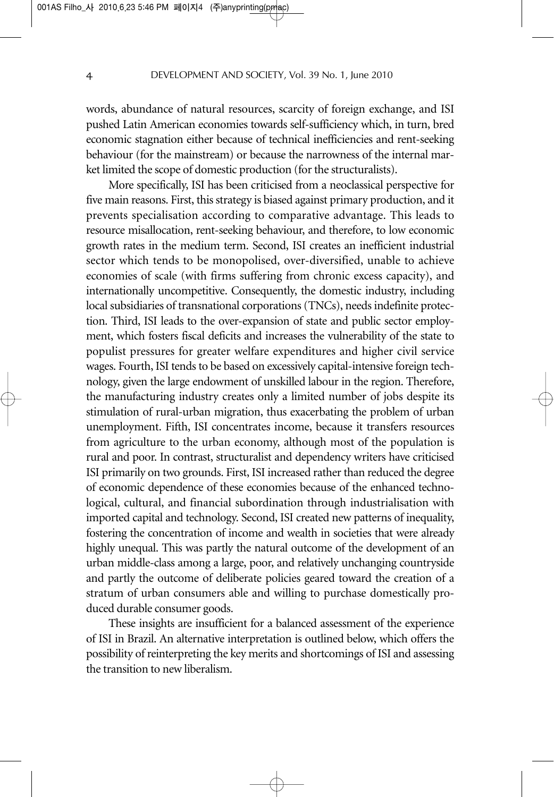words, abundance of natural resources, scarcity of foreign exchange, and ISI pushed Latin American economies towards self-sufficiency which, in turn, bred economic stagnation either because of technical inefficiencies and rent-seeking behaviour (for the mainstream) or because the narrowness of the internal market limited the scope of domestic production (for the structuralists).

More specifically, ISI has been criticised from a neoclassical perspective for five main reasons. First, this strategy is biased against primary production, and it prevents specialisation according to comparative advantage. This leads to resource misallocation, rent-seeking behaviour, and therefore, to low economic growth rates in the medium term. Second, ISI creates an inefficient industrial sector which tends to be monopolised, over-diversified, unable to achieve economies of scale (with firms suffering from chronic excess capacity), and internationally uncompetitive. Consequently, the domestic industry, including local subsidiaries of transnational corporations (TNCs), needs indefinite protection. Third, ISI leads to the over-expansion of state and public sector employment, which fosters fiscal deficits and increases the vulnerability of the state to populist pressures for greater welfare expenditures and higher civil service wages. Fourth, ISI tends to be based on excessively capital-intensive foreign technology, given the large endowment of unskilled labour in the region. Therefore, the manufacturing industry creates only a limited number of jobs despite its stimulation of rural-urban migration, thus exacerbating the problem of urban unemployment. Fifth, ISI concentrates income, because it transfers resources from agriculture to the urban economy, although most of the population is rural and poor. In contrast, structuralist and dependency writers have criticised ISI primarily on two grounds. First, ISI increased rather than reduced the degree of economic dependence of these economies because of the enhanced technological, cultural, and financial subordination through industrialisation with imported capital and technology. Second, ISI created new patterns of inequality, fostering the concentration of income and wealth in societies that were already highly unequal. This was partly the natural outcome of the development of an urban middle-class among a large, poor, and relatively unchanging countryside and partly the outcome of deliberate policies geared toward the creation of a stratum of urban consumers able and willing to purchase domestically produced durable consumer goods.

These insights are insufficient for a balanced assessment of the experience of ISI in Brazil. An alternative interpretation is outlined below, which offers the possibility of reinterpreting the key merits and shortcomings of ISI and assessing the transition to new liberalism.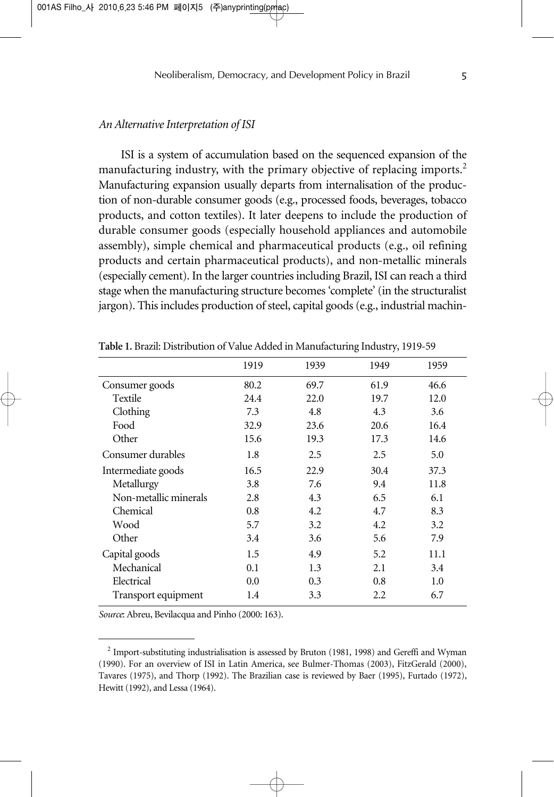## *An Alternative Interpretation of ISI*

ISI is a system of accumulation based on the sequenced expansion of the manufacturing industry, with the primary objective of replacing imports.<sup>2</sup> Manufacturing expansion usually departs from internalisation of the production of non-durable consumer goods (e.g., processed foods, beverages, tobacco products, and cotton textiles). It later deepens to include the production of durable consumer goods (especially household appliances and automobile assembly), simple chemical and pharmaceutical products (e.g., oil refining products and certain pharmaceutical products), and non-metallic minerals (especially cement). In the larger countries including Brazil, ISI can reach a third stage when the manufacturing structure becomes 'complete' (in the structuralist jargon). This includes production of steel, capital goods (e.g., industrial machin-

|                       | 1919 | 1939 | 1949 | 1959 |
|-----------------------|------|------|------|------|
| Consumer goods        | 80.2 | 69.7 | 61.9 | 46.6 |
| Textile               | 24.4 | 22.0 | 19.7 | 12.0 |
| Clothing              | 7.3  | 4.8  | 4.3  | 3.6  |
| Food                  | 32.9 | 23.6 | 20.6 | 16.4 |
| Other                 | 15.6 | 19.3 | 17.3 | 14.6 |
| Consumer durables     | 1.8  | 2.5  | 2.5  | 5.0  |
| Intermediate goods    | 16.5 | 22.9 | 30.4 | 37.3 |
| Metallurgy            | 3.8  | 7.6  | 9.4  | 11.8 |
| Non-metallic minerals | 2.8  | 4.3  | 6.5  | 6.1  |
| Chemical              | 0.8  | 4.2  | 4.7  | 8.3  |
| Wood                  | 5.7  | 3.2  | 4.2  | 3.2  |
| Other                 | 3.4  | 3.6  | 5.6  | 7.9  |
| Capital goods         | 1.5  | 4.9  | 5.2  | 11.1 |
| Mechanical            | 0.1  | 1.3  | 2.1  | 3.4  |
| Electrical            | 0.0  | 0.3  | 0.8  | 1.0  |
| Transport equipment   | 1.4  | 3.3  | 2.2  | 6.7  |
|                       |      |      |      |      |

**Table 1.** Brazil: Distribution of Value Added in Manufacturing Industry, 1919-59

*Source*: Abreu, Bevilacqua and Pinho (2000: 163).

<sup>&</sup>lt;sup>2</sup> Import-substituting industrialisation is assessed by Bruton (1981, 1998) and Gereffi and Wyman (1990). For an overview of ISI in Latin America, see Bulmer-Thomas (2003), FitzGerald (2000), Tavares (1975), and Thorp (1992). The Brazilian case is reviewed by Baer (1995), Furtado (1972), Hewitt (1992), and Lessa (1964).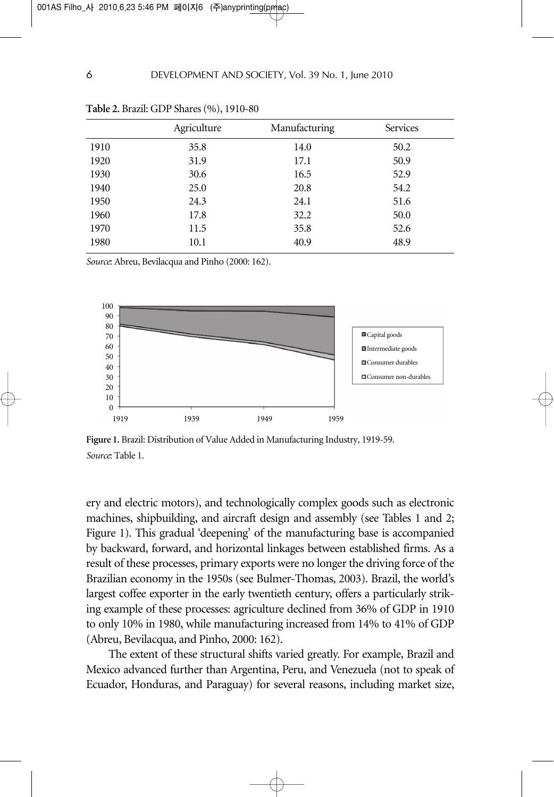|      | Agriculture | Manufacturing | Services |  |
|------|-------------|---------------|----------|--|
| 1910 | 35.8        | 14.0          | 50.2     |  |
| 1920 | 31.9        | 17.1          | 50.9     |  |
| 1930 | 30.6        | 16.5          | 52.9     |  |
| 1940 | 25.0        | 20.8          | 54.2     |  |
| 1950 | 24.3        | 24.1          | 51.6     |  |
| 1960 | 17.8        | 32.2          | 50.0     |  |
| 1970 | 11.5        | 35.8          | 52.6     |  |
| 1980 | 10.1        | 40.9          | 48.9     |  |
|      |             |               |          |  |

**Table 2.** Brazil: GDP Shares (%), 1910-80

*Source*: Abreu, Bevilacqua and Pinho (2000: 162).



**Figure 1.** Brazil: Distribution of Value Added in Manufacturing Industry, 1919-59. *Source*: Table 1.

ery and electric motors), and technologically complex goods such as electronic machines, shipbuilding, and aircraft design and assembly (see Tables 1 and 2; Figure 1). This gradual 'deepening' of the manufacturing base is accompanied by backward, forward, and horizontal linkages between established firms. As a result of these processes, primary exports were no longer the driving force of the Brazilian economy in the 1950s (see Bulmer-Thomas, 2003). Brazil, the world's largest coffee exporter in the early twentieth century, offers a particularly striking example of these processes: agriculture declined from 36% of GDP in 1910 to only 10% in 1980, while manufacturing increased from 14% to 41% of GDP (Abreu, Bevilacqua, and Pinho, 2000: 162).

The extent of these structural shifts varied greatly. For example, Brazil and Mexico advanced further than Argentina, Peru, and Venezuela (not to speak of Ecuador, Honduras, and Paraguay) for several reasons, including market size,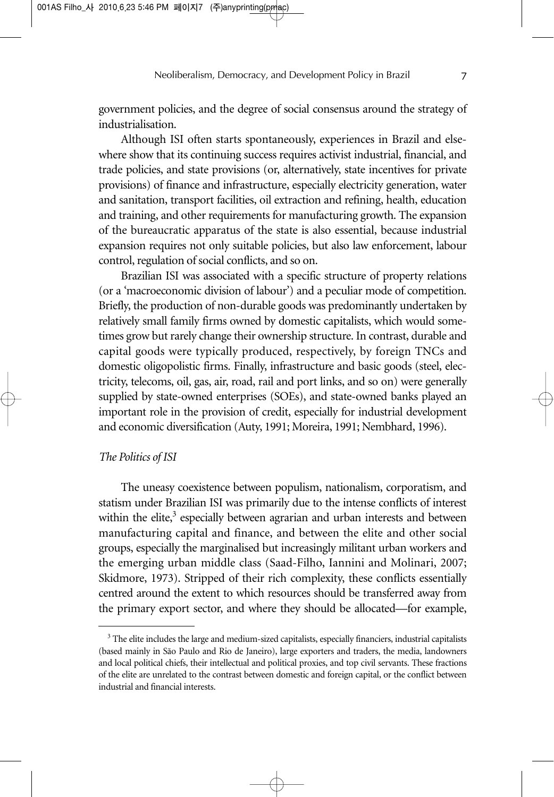government policies, and the degree of social consensus around the strategy of industrialisation.

Although ISI often starts spontaneously, experiences in Brazil and elsewhere show that its continuing success requires activist industrial, financial, and trade policies, and state provisions (or, alternatively, state incentives for private provisions) of finance and infrastructure, especially electricity generation, water and sanitation, transport facilities, oil extraction and refining, health, education and training, and other requirements for manufacturing growth. The expansion of the bureaucratic apparatus of the state is also essential, because industrial expansion requires not only suitable policies, but also law enforcement, labour control, regulation of social conflicts, and so on.

Brazilian ISI was associated with a specific structure of property relations (or a 'macroeconomic division of labour') and a peculiar mode of competition. Briefly, the production of non-durable goods was predominantly undertaken by relatively small family firms owned by domestic capitalists, which would sometimes grow but rarely change their ownership structure. In contrast, durable and capital goods were typically produced, respectively, by foreign TNCs and domestic oligopolistic firms. Finally, infrastructure and basic goods (steel, electricity, telecoms, oil, gas, air, road, rail and port links, and so on) were generally supplied by state-owned enterprises (SOEs), and state-owned banks played an important role in the provision of credit, especially for industrial development and economic diversification (Auty, 1991; Moreira, 1991; Nembhard, 1996).

## *The Politics of ISI*

The uneasy coexistence between populism, nationalism, corporatism, and statism under Brazilian ISI was primarily due to the intense conflicts of interest within the elite,<sup>3</sup> especially between agrarian and urban interests and between manufacturing capital and finance, and between the elite and other social groups, especially the marginalised but increasingly militant urban workers and the emerging urban middle class (Saad-Filho, Iannini and Molinari, 2007; Skidmore, 1973). Stripped of their rich complexity, these conflicts essentially centred around the extent to which resources should be transferred away from the primary export sector, and where they should be allocated—for example,

 $3$  The elite includes the large and medium-sized capitalists, especially financiers, industrial capitalists (based mainly in São Paulo and Rio de Janeiro), large exporters and traders, the media, landowners and local political chiefs, their intellectual and political proxies, and top civil servants. These fractions of the elite are unrelated to the contrast between domestic and foreign capital, or the conflict between industrial and financial interests.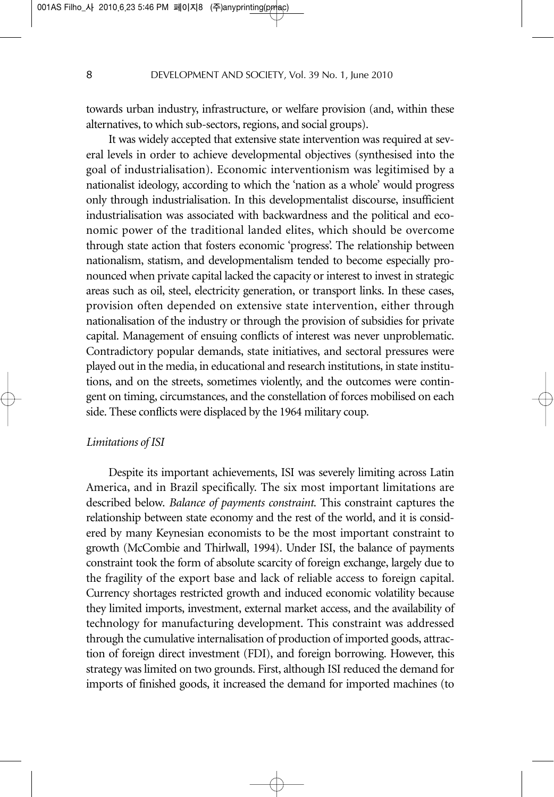towards urban industry, infrastructure, or welfare provision (and, within these alternatives, to which sub-sectors, regions, and social groups).

It was widely accepted that extensive state intervention was required at several levels in order to achieve developmental objectives (synthesised into the goal of industrialisation). Economic interventionism was legitimised by a nationalist ideology, according to which the 'nation as a whole' would progress only through industrialisation. In this developmentalist discourse, insufficient industrialisation was associated with backwardness and the political and economic power of the traditional landed elites, which should be overcome through state action that fosters economic 'progress'. The relationship between nationalism, statism, and developmentalism tended to become especially pronounced when private capital lacked the capacity or interest to invest in strategic areas such as oil, steel, electricity generation, or transport links. In these cases, provision often depended on extensive state intervention, either through nationalisation of the industry or through the provision of subsidies for private capital. Management of ensuing conflicts of interest was never unproblematic. Contradictory popular demands, state initiatives, and sectoral pressures were played out in the media, in educational and research institutions, in state institutions, and on the streets, sometimes violently, and the outcomes were contingent on timing, circumstances, and the constellation of forces mobilised on each side. These conflicts were displaced by the 1964 military coup.

#### *Limitations of ISI*

Despite its important achievements, ISI was severely limiting across Latin America, and in Brazil specifically. The six most important limitations are described below. *Balance of payments constraint*. This constraint captures the relationship between state economy and the rest of the world, and it is considered by many Keynesian economists to be the most important constraint to growth (McCombie and Thirlwall, 1994). Under ISI, the balance of payments constraint took the form of absolute scarcity of foreign exchange, largely due to the fragility of the export base and lack of reliable access to foreign capital. Currency shortages restricted growth and induced economic volatility because they limited imports, investment, external market access, and the availability of technology for manufacturing development. This constraint was addressed through the cumulative internalisation of production of imported goods, attraction of foreign direct investment (FDI), and foreign borrowing. However, this strategy was limited on two grounds. First, although ISI reduced the demand for imports of finished goods, it increased the demand for imported machines (to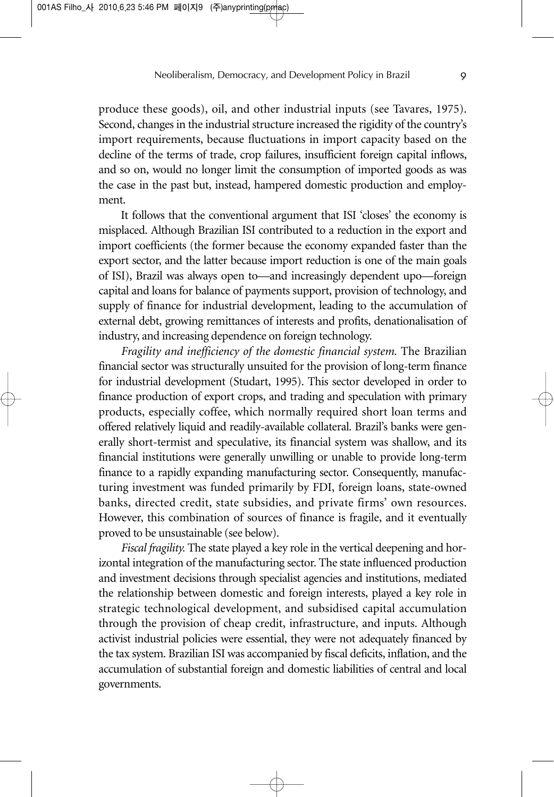produce these goods), oil, and other industrial inputs (see Tavares, 1975). Second, changes in the industrial structure increased the rigidity of the country's import requirements, because fluctuations in import capacity based on the decline of the terms of trade, crop failures, insufficient foreign capital inflows, and so on, would no longer limit the consumption of imported goods as was the case in the past but, instead, hampered domestic production and employment.

It follows that the conventional argument that ISI 'closes' the economy is misplaced. Although Brazilian ISI contributed to a reduction in the export and import coefficients (the former because the economy expanded faster than the export sector, and the latter because import reduction is one of the main goals of ISI), Brazil was always open to—and increasingly dependent upo—foreign capital and loans for balance of payments support, provision of technology, and supply of finance for industrial development, leading to the accumulation of external debt, growing remittances of interests and profits, denationalisation of industry, and increasing dependence on foreign technology.

*Fragility and inefficiency of the domestic financial system*. The Brazilian financial sector was structurally unsuited for the provision of long-term finance for industrial development (Studart, 1995). This sector developed in order to finance production of export crops, and trading and speculation with primary products, especially coffee, which normally required short loan terms and offered relatively liquid and readily-available collateral. Brazil's banks were generally short-termist and speculative, its financial system was shallow, and its financial institutions were generally unwilling or unable to provide long-term finance to a rapidly expanding manufacturing sector. Consequently, manufacturing investment was funded primarily by FDI, foreign loans, state-owned banks, directed credit, state subsidies, and private firms' own resources. However, this combination of sources of finance is fragile, and it eventually proved to be unsustainable (see below).

*Fiscal fragility.* The state played a key role in the vertical deepening and horizontal integration of the manufacturing sector. The state influenced production and investment decisions through specialist agencies and institutions, mediated the relationship between domestic and foreign interests, played a key role in strategic technological development, and subsidised capital accumulation through the provision of cheap credit, infrastructure, and inputs. Although activist industrial policies were essential, they were not adequately financed by the tax system. Brazilian ISI was accompanied by fiscal deficits, inflation, and the accumulation of substantial foreign and domestic liabilities of central and local governments.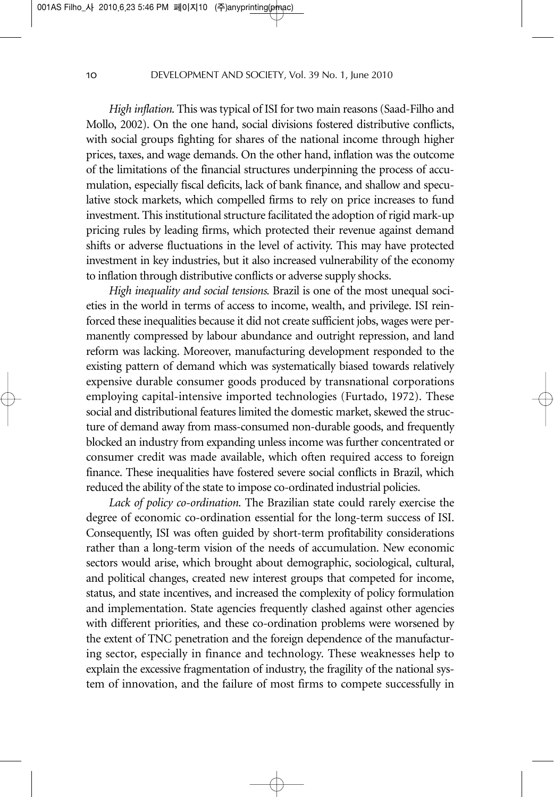*High inflation*. This was typical of ISI for two main reasons (Saad-Filho and Mollo, 2002). On the one hand, social divisions fostered distributive conflicts, with social groups fighting for shares of the national income through higher prices, taxes, and wage demands. On the other hand, inflation was the outcome of the limitations of the financial structures underpinning the process of accumulation, especially fiscal deficits, lack of bank finance, and shallow and speculative stock markets, which compelled firms to rely on price increases to fund investment. This institutional structure facilitated the adoption of rigid mark-up pricing rules by leading firms, which protected their revenue against demand shifts or adverse fluctuations in the level of activity. This may have protected investment in key industries, but it also increased vulnerability of the economy to inflation through distributive conflicts or adverse supply shocks.

*High inequality and social tensions*. Brazil is one of the most unequal societies in the world in terms of access to income, wealth, and privilege. ISI reinforced these inequalities because it did not create sufficient jobs, wages were permanently compressed by labour abundance and outright repression, and land reform was lacking. Moreover, manufacturing development responded to the existing pattern of demand which was systematically biased towards relatively expensive durable consumer goods produced by transnational corporations employing capital-intensive imported technologies (Furtado, 1972). These social and distributional features limited the domestic market, skewed the structure of demand away from mass-consumed non-durable goods, and frequently blocked an industry from expanding unless income was further concentrated or consumer credit was made available, which often required access to foreign finance. These inequalities have fostered severe social conflicts in Brazil, which reduced the ability of the state to impose co-ordinated industrial policies.

*Lack of policy co-ordination*. The Brazilian state could rarely exercise the degree of economic co-ordination essential for the long-term success of ISI. Consequently, ISI was often guided by short-term profitability considerations rather than a long-term vision of the needs of accumulation. New economic sectors would arise, which brought about demographic, sociological, cultural, and political changes, created new interest groups that competed for income, status, and state incentives, and increased the complexity of policy formulation and implementation. State agencies frequently clashed against other agencies with different priorities, and these co-ordination problems were worsened by the extent of TNC penetration and the foreign dependence of the manufacturing sector, especially in finance and technology. These weaknesses help to explain the excessive fragmentation of industry, the fragility of the national system of innovation, and the failure of most firms to compete successfully in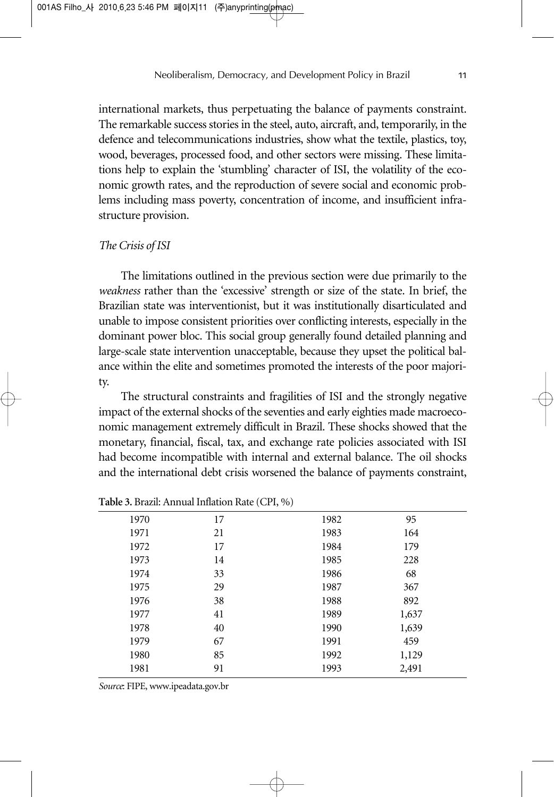international markets, thus perpetuating the balance of payments constraint. The remarkable success stories in the steel, auto, aircraft, and, temporarily, in the defence and telecommunications industries, show what the textile, plastics, toy, wood, beverages, processed food, and other sectors were missing. These limitations help to explain the 'stumbling' character of ISI, the volatility of the economic growth rates, and the reproduction of severe social and economic problems including mass poverty, concentration of income, and insufficient infrastructure provision.

## *The Crisis of ISI*

The limitations outlined in the previous section were due primarily to the *weakness* rather than the 'excessive' strength or size of the state. In brief, the Brazilian state was interventionist, but it was institutionally disarticulated and unable to impose consistent priorities over conflicting interests, especially in the dominant power bloc. This social group generally found detailed planning and large-scale state intervention unacceptable, because they upset the political balance within the elite and sometimes promoted the interests of the poor majority.

The structural constraints and fragilities of ISI and the strongly negative impact of the external shocks of the seventies and early eighties made macroeconomic management extremely difficult in Brazil. These shocks showed that the monetary, financial, fiscal, tax, and exchange rate policies associated with ISI had become incompatible with internal and external balance. The oil shocks and the international debt crisis worsened the balance of payments constraint,

| 1970 | 17 | 1982 | 95    |
|------|----|------|-------|
| 1971 | 21 | 1983 | 164   |
| 1972 | 17 | 1984 | 179   |
| 1973 | 14 | 1985 | 228   |
| 1974 | 33 | 1986 | 68    |
| 1975 | 29 | 1987 | 367   |
| 1976 | 38 | 1988 | 892   |
| 1977 | 41 | 1989 | 1,637 |
| 1978 | 40 | 1990 | 1,639 |
| 1979 | 67 | 1991 | 459   |
| 1980 | 85 | 1992 | 1,129 |
| 1981 | 91 | 1993 | 2,491 |
|      |    |      |       |

**Table 3.** Brazil: Annual Inflation Rate (CPI, %)

*Source*: FIPE, www.ipeadata.gov.br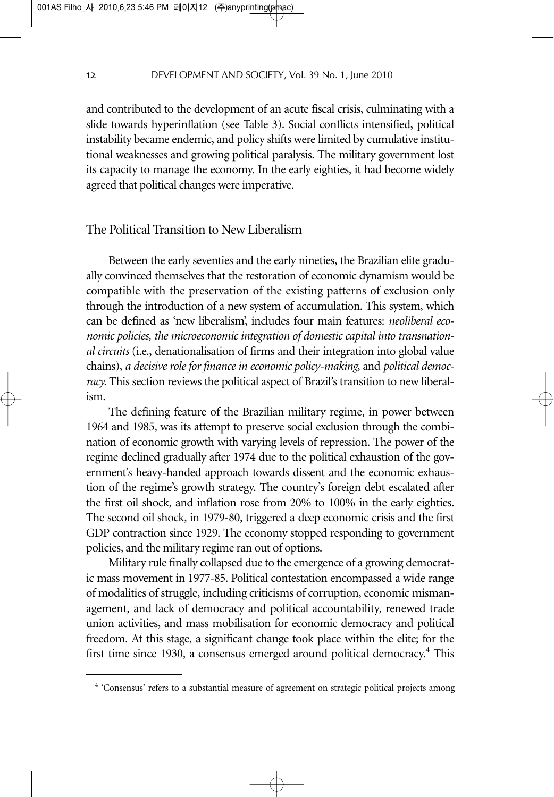and contributed to the development of an acute fiscal crisis, culminating with a slide towards hyperinflation (see Table 3). Social conflicts intensified, political instability became endemic, and policy shifts were limited by cumulative institutional weaknesses and growing political paralysis. The military government lost its capacity to manage the economy. In the early eighties, it had become widely agreed that political changes were imperative.

## The Political Transition to New Liberalism

Between the early seventies and the early nineties, the Brazilian elite gradually convinced themselves that the restoration of economic dynamism would be compatible with the preservation of the existing patterns of exclusion only through the introduction of a new system of accumulation. This system, which can be defined as 'new liberalism', includes four main features: *neoliberal economic policies, the microeconomic integration of domestic capital into transnational circuits* (i.e., denationalisation of firms and their integration into global value chains), *a decisive role for finance in economic policy-making*, and *political democracy.* This section reviews the political aspect of Brazil's transition to new liberalism.

The defining feature of the Brazilian military regime, in power between 1964 and 1985, was its attempt to preserve social exclusion through the combination of economic growth with varying levels of repression. The power of the regime declined gradually after 1974 due to the political exhaustion of the government's heavy-handed approach towards dissent and the economic exhaustion of the regime's growth strategy. The country's foreign debt escalated after the first oil shock, and inflation rose from 20% to 100% in the early eighties. The second oil shock, in 1979-80, triggered a deep economic crisis and the first GDP contraction since 1929. The economy stopped responding to government policies, and the military regime ran out of options.

Military rule finally collapsed due to the emergence of a growing democratic mass movement in 1977-85. Political contestation encompassed a wide range of modalities of struggle, including criticisms of corruption, economic mismanagement, and lack of democracy and political accountability, renewed trade union activities, and mass mobilisation for economic democracy and political freedom. At this stage, a significant change took place within the elite; for the first time since 1930, a consensus emerged around political democracy.4 This

<sup>4</sup> 'Consensus' refers to a substantial measure of agreement on strategic political projects among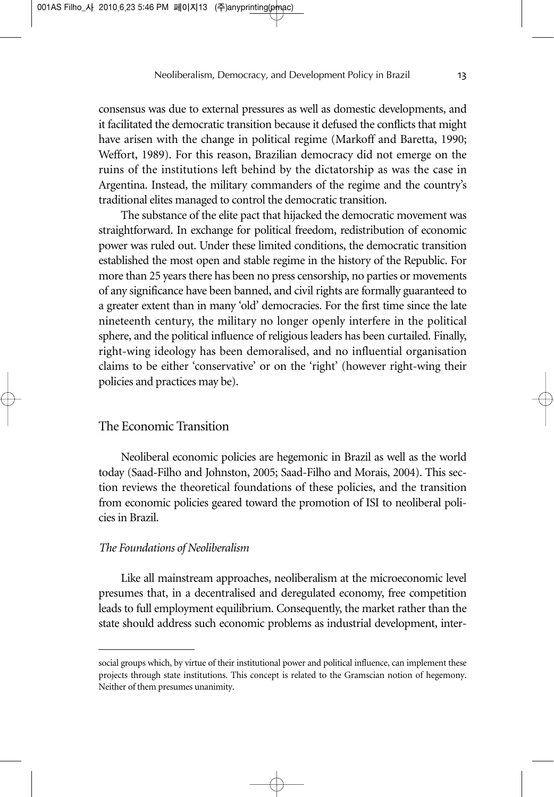consensus was due to external pressures as well as domestic developments, and it facilitated the democratic transition because it defused the conflicts that might have arisen with the change in political regime (Markoff and Baretta, 1990; Weffort, 1989). For this reason, Brazilian democracy did not emerge on the ruins of the institutions left behind by the dictatorship as was the case in Argentina. Instead, the military commanders of the regime and the country's traditional elites managed to control the democratic transition.

The substance of the elite pact that hijacked the democratic movement was straightforward. In exchange for political freedom, redistribution of economic power was ruled out. Under these limited conditions, the democratic transition established the most open and stable regime in the history of the Republic. For more than 25 years there has been no press censorship, no parties or movements of any significance have been banned, and civil rights are formally guaranteed to a greater extent than in many 'old' democracies. For the first time since the late nineteenth century, the military no longer openly interfere in the political sphere, and the political influence of religious leaders has been curtailed. Finally, right-wing ideology has been demoralised, and no influential organisation claims to be either 'conservative' or on the 'right' (however right-wing their policies and practices may be).

# The Economic Transition

Neoliberal economic policies are hegemonic in Brazil as well as the world today (Saad-Filho and Johnston, 2005; Saad-Filho and Morais, 2004). This section reviews the theoretical foundations of these policies, and the transition from economic policies geared toward the promotion of ISI to neoliberal policies in Brazil.

## *The Foundations of Neoliberalism*

Like all mainstream approaches, neoliberalism at the microeconomic level presumes that, in a decentralised and deregulated economy, free competition leads to full employment equilibrium. Consequently, the market rather than the state should address such economic problems as industrial development, inter-

social groups which, by virtue of their institutional power and political influence, can implement these projects through state institutions. This concept is related to the Gramscian notion of hegemony. Neither of them presumes unanimity.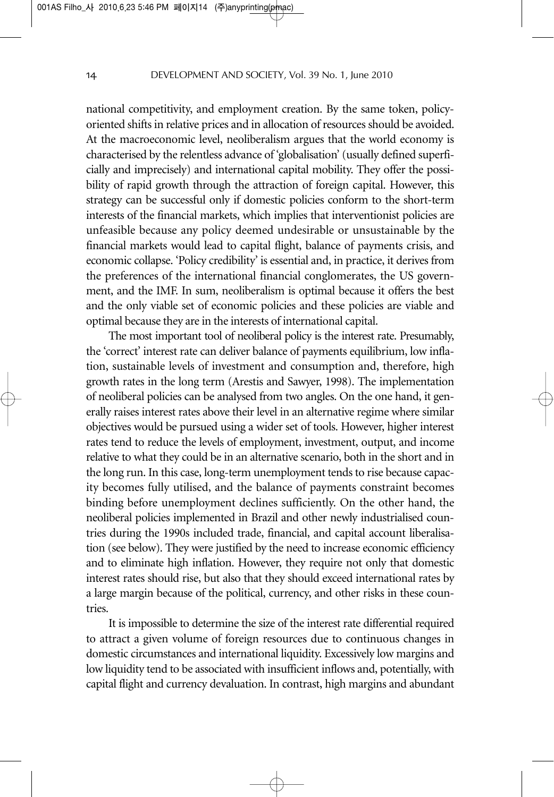national competitivity, and employment creation. By the same token, policyoriented shifts in relative prices and in allocation of resources should be avoided. At the macroeconomic level, neoliberalism argues that the world economy is characterised by the relentless advance of 'globalisation' (usually defined superficially and imprecisely) and international capital mobility. They offer the possibility of rapid growth through the attraction of foreign capital. However, this strategy can be successful only if domestic policies conform to the short-term interests of the financial markets, which implies that interventionist policies are unfeasible because any policy deemed undesirable or unsustainable by the financial markets would lead to capital flight, balance of payments crisis, and economic collapse. 'Policy credibility' is essential and, in practice, it derives from the preferences of the international financial conglomerates, the US government, and the IMF. In sum, neoliberalism is optimal because it offers the best and the only viable set of economic policies and these policies are viable and optimal because they are in the interests of international capital.

The most important tool of neoliberal policy is the interest rate. Presumably, the 'correct' interest rate can deliver balance of payments equilibrium, low inflation, sustainable levels of investment and consumption and, therefore, high growth rates in the long term (Arestis and Sawyer, 1998). The implementation of neoliberal policies can be analysed from two angles. On the one hand, it generally raises interest rates above their level in an alternative regime where similar objectives would be pursued using a wider set of tools. However, higher interest rates tend to reduce the levels of employment, investment, output, and income relative to what they could be in an alternative scenario, both in the short and in the long run. In this case, long-term unemployment tends to rise because capacity becomes fully utilised, and the balance of payments constraint becomes binding before unemployment declines sufficiently. On the other hand, the neoliberal policies implemented in Brazil and other newly industrialised countries during the 1990s included trade, financial, and capital account liberalisation (see below). They were justified by the need to increase economic efficiency and to eliminate high inflation. However, they require not only that domestic interest rates should rise, but also that they should exceed international rates by a large margin because of the political, currency, and other risks in these countries.

It is impossible to determine the size of the interest rate differential required to attract a given volume of foreign resources due to continuous changes in domestic circumstances and international liquidity. Excessively low margins and low liquidity tend to be associated with insufficient inflows and, potentially, with capital flight and currency devaluation. In contrast, high margins and abundant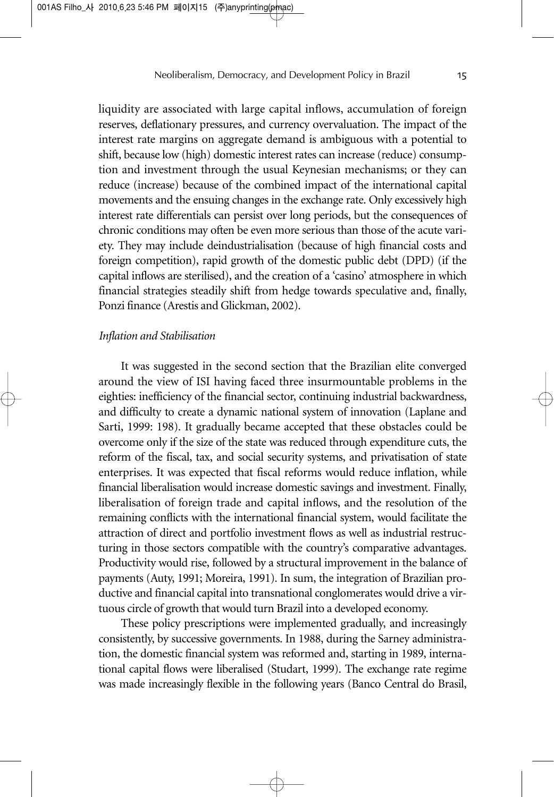liquidity are associated with large capital inflows, accumulation of foreign reserves, deflationary pressures, and currency overvaluation. The impact of the interest rate margins on aggregate demand is ambiguous with a potential to shift, because low (high) domestic interest rates can increase (reduce) consumption and investment through the usual Keynesian mechanisms; or they can reduce (increase) because of the combined impact of the international capital movements and the ensuing changes in the exchange rate. Only excessively high interest rate differentials can persist over long periods, but the consequences of chronic conditions may often be even more serious than those of the acute variety. They may include deindustrialisation (because of high financial costs and foreign competition), rapid growth of the domestic public debt (DPD) (if the capital inflows are sterilised), and the creation of a 'casino' atmosphere in which financial strategies steadily shift from hedge towards speculative and, finally, Ponzi finance (Arestis and Glickman, 2002).

## *Inflation and Stabilisation*

It was suggested in the second section that the Brazilian elite converged around the view of ISI having faced three insurmountable problems in the eighties: inefficiency of the financial sector, continuing industrial backwardness, and difficulty to create a dynamic national system of innovation (Laplane and Sarti, 1999: 198). It gradually became accepted that these obstacles could be overcome only if the size of the state was reduced through expenditure cuts, the reform of the fiscal, tax, and social security systems, and privatisation of state enterprises. It was expected that fiscal reforms would reduce inflation, while financial liberalisation would increase domestic savings and investment. Finally, liberalisation of foreign trade and capital inflows, and the resolution of the remaining conflicts with the international financial system, would facilitate the attraction of direct and portfolio investment flows as well as industrial restructuring in those sectors compatible with the country's comparative advantages. Productivity would rise, followed by a structural improvement in the balance of payments (Auty, 1991; Moreira, 1991). In sum, the integration of Brazilian productive and financial capital into transnational conglomerates would drive a virtuous circle of growth that would turn Brazil into a developed economy.

These policy prescriptions were implemented gradually, and increasingly consistently, by successive governments. In 1988, during the Sarney administration, the domestic financial system was reformed and, starting in 1989, international capital flows were liberalised (Studart, 1999). The exchange rate regime was made increasingly flexible in the following years (Banco Central do Brasil,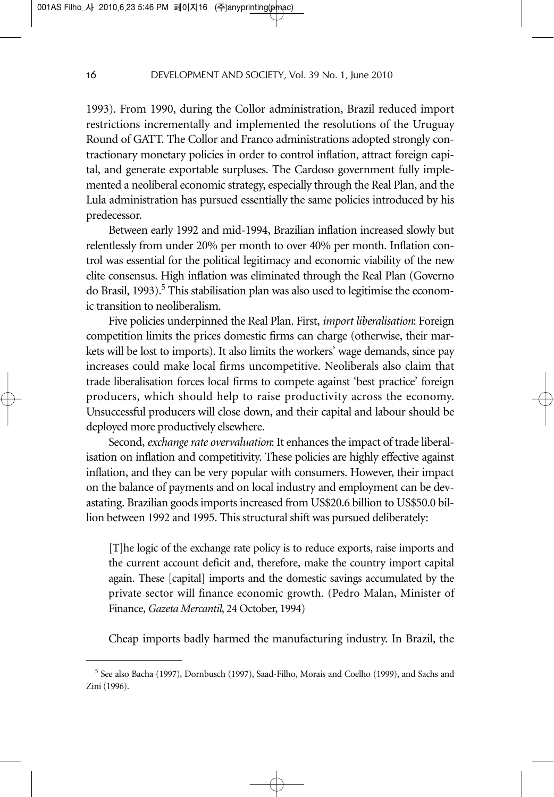1993). From 1990, during the Collor administration, Brazil reduced import restrictions incrementally and implemented the resolutions of the Uruguay Round of GATT. The Collor and Franco administrations adopted strongly contractionary monetary policies in order to control inflation, attract foreign capital, and generate exportable surpluses. The Cardoso government fully implemented a neoliberal economic strategy, especially through the Real Plan, and the Lula administration has pursued essentially the same policies introduced by his predecessor.

Between early 1992 and mid-1994, Brazilian inflation increased slowly but relentlessly from under 20% per month to over 40% per month. Inflation control was essential for the political legitimacy and economic viability of the new elite consensus. High inflation was eliminated through the Real Plan (Governo do Brasil, 1993).<sup>5</sup> This stabilisation plan was also used to legitimise the economic transition to neoliberalism.

Five policies underpinned the Real Plan. First, *import liberalisation*: Foreign competition limits the prices domestic firms can charge (otherwise, their markets will be lost to imports). It also limits the workers' wage demands, since pay increases could make local firms uncompetitive. Neoliberals also claim that trade liberalisation forces local firms to compete against 'best practice' foreign producers, which should help to raise productivity across the economy. Unsuccessful producers will close down, and their capital and labour should be deployed more productively elsewhere.

Second, *exchange rate overvaluation*: It enhances the impact of trade liberalisation on inflation and competitivity. These policies are highly effective against inflation, and they can be very popular with consumers. However, their impact on the balance of payments and on local industry and employment can be devastating. Brazilian goods imports increased from US\$20.6 billion to US\$50.0 billion between 1992 and 1995. This structural shift was pursued deliberately:

[T]he logic of the exchange rate policy is to reduce exports, raise imports and the current account deficit and, therefore, make the country import capital again. These [capital] imports and the domestic savings accumulated by the private sector will finance economic growth. (Pedro Malan, Minister of Finance, *Gazeta Mercantil*, 24 October, 1994)

Cheap imports badly harmed the manufacturing industry. In Brazil, the

<sup>5</sup> See also Bacha (1997), Dornbusch (1997), Saad-Filho, Morais and Coelho (1999), and Sachs and Zini (1996).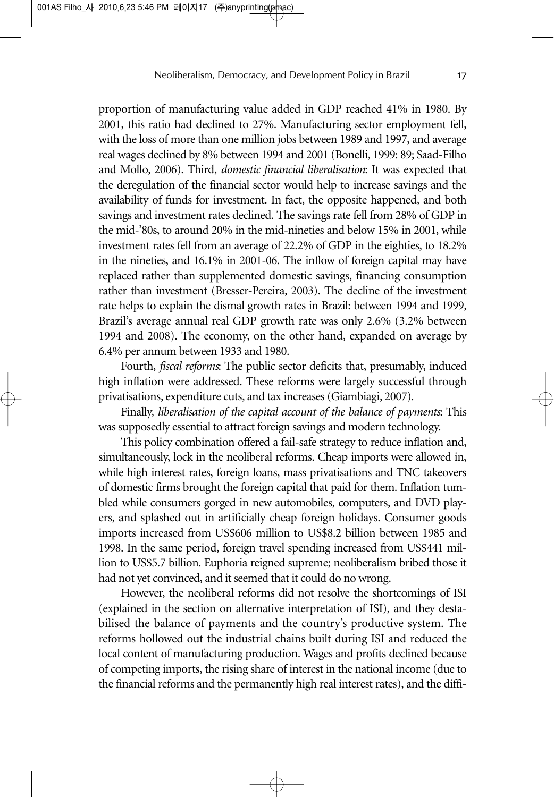proportion of manufacturing value added in GDP reached 41% in 1980. By 2001, this ratio had declined to 27%. Manufacturing sector employment fell, with the loss of more than one million jobs between 1989 and 1997, and average real wages declined by 8% between 1994 and 2001 (Bonelli, 1999: 89; Saad-Filho and Mollo, 2006). Third, *domestic financial liberalisation*: It was expected that the deregulation of the financial sector would help to increase savings and the availability of funds for investment. In fact, the opposite happened, and both savings and investment rates declined. The savings rate fell from 28% of GDP in the mid-'80s, to around 20% in the mid-nineties and below 15% in 2001, while investment rates fell from an average of 22.2% of GDP in the eighties, to 18.2% in the nineties, and 16.1% in 2001-06. The inflow of foreign capital may have replaced rather than supplemented domestic savings, financing consumption rather than investment (Bresser-Pereira, 2003). The decline of the investment rate helps to explain the dismal growth rates in Brazil: between 1994 and 1999, Brazil's average annual real GDP growth rate was only 2.6% (3.2% between 1994 and 2008). The economy, on the other hand, expanded on average by 6.4% per annum between 1933 and 1980.

Fourth, *fiscal reforms*: The public sector deficits that, presumably, induced high inflation were addressed. These reforms were largely successful through privatisations, expenditure cuts, and tax increases (Giambiagi, 2007).

Finally, *liberalisation of the capital account of the balance of payments*: This was supposedly essential to attract foreign savings and modern technology.

This policy combination offered a fail-safe strategy to reduce inflation and, simultaneously, lock in the neoliberal reforms. Cheap imports were allowed in, while high interest rates, foreign loans, mass privatisations and TNC takeovers of domestic firms brought the foreign capital that paid for them. Inflation tumbled while consumers gorged in new automobiles, computers, and DVD players, and splashed out in artificially cheap foreign holidays. Consumer goods imports increased from US\$606 million to US\$8.2 billion between 1985 and 1998. In the same period, foreign travel spending increased from US\$441 million to US\$5.7 billion. Euphoria reigned supreme; neoliberalism bribed those it had not yet convinced, and it seemed that it could do no wrong.

However, the neoliberal reforms did not resolve the shortcomings of ISI (explained in the section on alternative interpretation of ISI), and they destabilised the balance of payments and the country's productive system. The reforms hollowed out the industrial chains built during ISI and reduced the local content of manufacturing production. Wages and profits declined because of competing imports, the rising share of interest in the national income (due to the financial reforms and the permanently high real interest rates), and the diffi-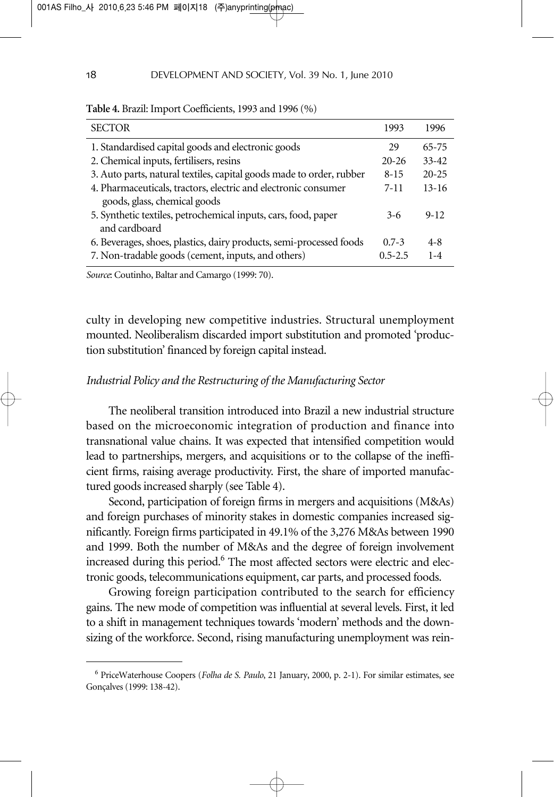| <b>SECTOR</b>                                                        | 1993        | 1996      |
|----------------------------------------------------------------------|-------------|-----------|
| 1. Standardised capital goods and electronic goods                   | 29          | 65-75     |
| 2. Chemical inputs, fertilisers, resins                              | $20 - 26$   | $33 - 42$ |
| 3. Auto parts, natural textiles, capital goods made to order, rubber | $8 - 15$    | $20 - 25$ |
| 4. Pharmaceuticals, tractors, electric and electronic consumer       | $7 - 11$    | $13 - 16$ |
| goods, glass, chemical goods                                         |             |           |
| 5. Synthetic textiles, petrochemical inputs, cars, food, paper       | $3-6$       | $9 - 12$  |
| and cardboard                                                        |             |           |
| 6. Beverages, shoes, plastics, dairy products, semi-processed foods  | $0.7 - 3$   | $4 - 8$   |
| 7. Non-tradable goods (cement, inputs, and others)                   | $0.5 - 2.5$ | $1 - 4$   |

**Table 4.** Brazil: Import Coefficients, 1993 and 1996 (%)

*Source*: Coutinho, Baltar and Camargo (1999: 70).

culty in developing new competitive industries. Structural unemployment mounted. Neoliberalism discarded import substitution and promoted 'production substitution' financed by foreign capital instead.

## *Industrial Policy and the Restructuring of the Manufacturing Sector*

The neoliberal transition introduced into Brazil a new industrial structure based on the microeconomic integration of production and finance into transnational value chains. It was expected that intensified competition would lead to partnerships, mergers, and acquisitions or to the collapse of the inefficient firms, raising average productivity. First, the share of imported manufactured goods increased sharply (see Table 4).

Second, participation of foreign firms in mergers and acquisitions (M&As) and foreign purchases of minority stakes in domestic companies increased significantly. Foreign firms participated in 49.1% of the 3,276 M&As between 1990 and 1999. Both the number of M&As and the degree of foreign involvement increased during this period.<sup>6</sup> The most affected sectors were electric and electronic goods, telecommunications equipment, car parts, and processed foods.

Growing foreign participation contributed to the search for efficiency gains. The new mode of competition was influential at several levels. First, it led to a shift in management techniques towards 'modern' methods and the downsizing of the workforce. Second, rising manufacturing unemployment was rein-

<sup>6</sup> PriceWaterhouse Coopers (*Folha de S. Paulo*, 21 January, 2000, p. 2-1). For similar estimates, see Gonçalves (1999: 138-42).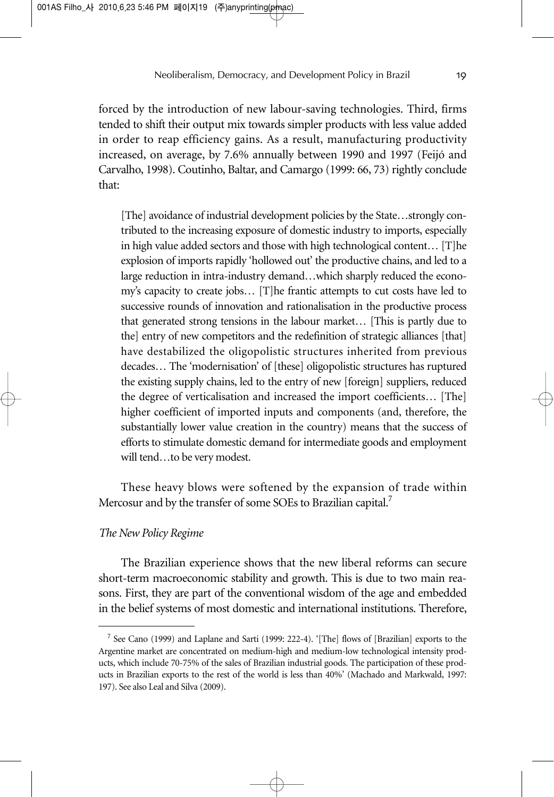forced by the introduction of new labour-saving technologies. Third, firms tended to shift their output mix towards simpler products with less value added in order to reap efficiency gains. As a result, manufacturing productivity increased, on average, by 7.6% annually between 1990 and 1997 (Feijó and Carvalho, 1998). Coutinho, Baltar, and Camargo (1999: 66, 73) rightly conclude that:

[The] avoidance of industrial development policies by the State…strongly contributed to the increasing exposure of domestic industry to imports, especially in high value added sectors and those with high technological content… [T]he explosion of imports rapidly 'hollowed out' the productive chains, and led to a large reduction in intra-industry demand…which sharply reduced the economy's capacity to create jobs… [T]he frantic attempts to cut costs have led to successive rounds of innovation and rationalisation in the productive process that generated strong tensions in the labour market… [This is partly due to the] entry of new competitors and the redefinition of strategic alliances [that] have destabilized the oligopolistic structures inherited from previous decades… The 'modernisation' of [these] oligopolistic structures has ruptured the existing supply chains, led to the entry of new [foreign] suppliers, reduced the degree of verticalisation and increased the import coefficients… [The] higher coefficient of imported inputs and components (and, therefore, the substantially lower value creation in the country) means that the success of efforts to stimulate domestic demand for intermediate goods and employment will tend…to be very modest.

These heavy blows were softened by the expansion of trade within Mercosur and by the transfer of some SOEs to Brazilian capital.7

## *The New Policy Regime*

The Brazilian experience shows that the new liberal reforms can secure short-term macroeconomic stability and growth. This is due to two main reasons. First, they are part of the conventional wisdom of the age and embedded in the belief systems of most domestic and international institutions. Therefore,

<sup>7</sup> See Cano (1999) and Laplane and Sarti (1999: 222-4). '[The] flows of [Brazilian] exports to the Argentine market are concentrated on medium-high and medium-low technological intensity products, which include 70-75% of the sales of Brazilian industrial goods. The participation of these products in Brazilian exports to the rest of the world is less than 40%' (Machado and Markwald, 1997: 197). See also Leal and Silva (2009).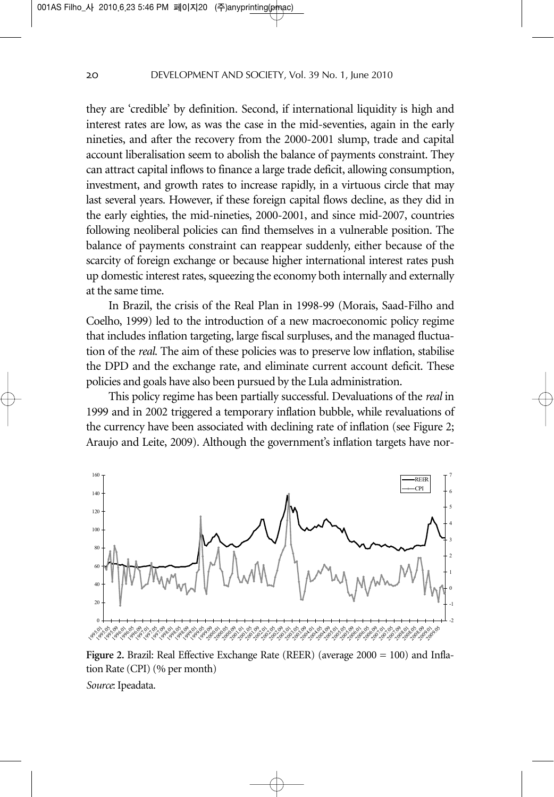they are 'credible' by definition. Second, if international liquidity is high and interest rates are low, as was the case in the mid-seventies, again in the early nineties, and after the recovery from the 2000-2001 slump, trade and capital account liberalisation seem to abolish the balance of payments constraint. They can attract capital inflows to finance a large trade deficit, allowing consumption, investment, and growth rates to increase rapidly, in a virtuous circle that may last several years. However, if these foreign capital flows decline, as they did in the early eighties, the mid-nineties, 2000-2001, and since mid-2007, countries following neoliberal policies can find themselves in a vulnerable position. The balance of payments constraint can reappear suddenly, either because of the scarcity of foreign exchange or because higher international interest rates push up domestic interest rates, squeezing the economy both internally and externally at the same time.

In Brazil, the crisis of the Real Plan in 1998-99 (Morais, Saad-Filho and Coelho, 1999) led to the introduction of a new macroeconomic policy regime that includes inflation targeting, large fiscal surpluses, and the managed fluctuation of the *real*. The aim of these policies was to preserve low inflation, stabilise the DPD and the exchange rate, and eliminate current account deficit. These policies and goals have also been pursued by the Lula administration.

This policy regime has been partially successful. Devaluations of the *real* in 1999 and in 2002 triggered a temporary inflation bubble, while revaluations of the currency have been associated with declining rate of inflation (see Figure 2; Araujo and Leite, 2009). Although the government's inflation targets have nor-



**Figure 2.** Brazil: Real Effective Exchange Rate (REER) (average 2000 = 100) and Inflation Rate (CPI) (% per month) *Source*: Ipeadata.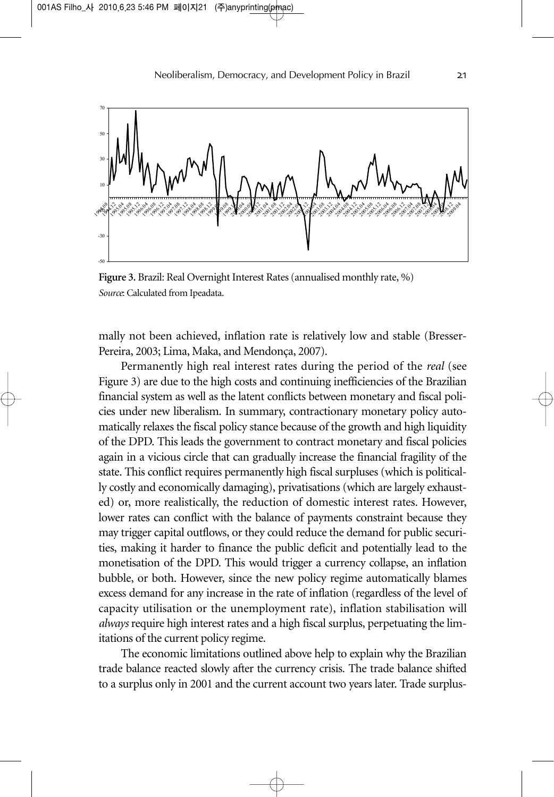

**Figure 3.** Brazil: Real Overnight Interest Rates (annualised monthly rate, %) *Source*: Calculated from Ipeadata.

mally not been achieved, inflation rate is relatively low and stable (Bresser-Pereira, 2003; Lima, Maka, and Mendonça, 2007).

Permanently high real interest rates during the period of the *real* (see Figure 3) are due to the high costs and continuing inefficiencies of the Brazilian financial system as well as the latent conflicts between monetary and fiscal policies under new liberalism. In summary, contractionary monetary policy automatically relaxes the fiscal policy stance because of the growth and high liquidity of the DPD. This leads the government to contract monetary and fiscal policies again in a vicious circle that can gradually increase the financial fragility of the state. This conflict requires permanently high fiscal surpluses (which is politically costly and economically damaging), privatisations (which are largely exhausted) or, more realistically, the reduction of domestic interest rates. However, lower rates can conflict with the balance of payments constraint because they may trigger capital outflows, or they could reduce the demand for public securities, making it harder to finance the public deficit and potentially lead to the monetisation of the DPD. This would trigger a currency collapse, an inflation bubble, or both. However, since the new policy regime automatically blames excess demand for any increase in the rate of inflation (regardless of the level of capacity utilisation or the unemployment rate), inflation stabilisation will *always* require high interest rates and a high fiscal surplus, perpetuating the limitations of the current policy regime.

The economic limitations outlined above help to explain why the Brazilian trade balance reacted slowly after the currency crisis. The trade balance shifted to a surplus only in 2001 and the current account two years later. Trade surplus-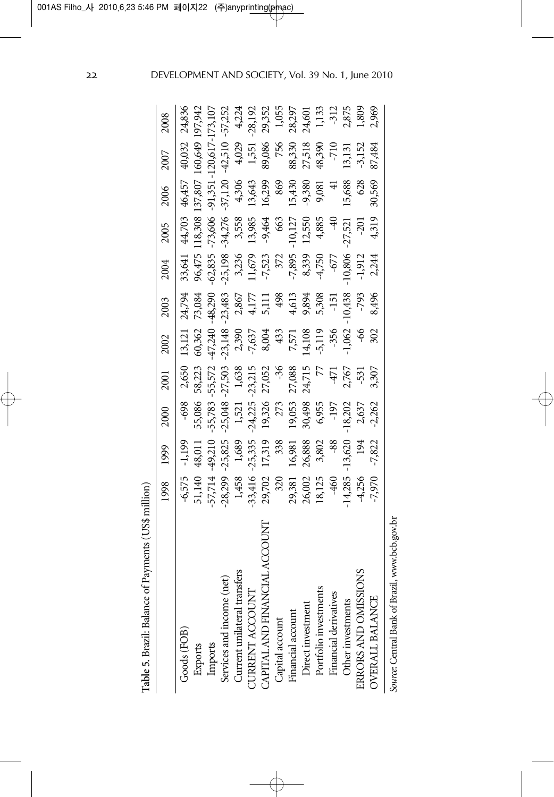| Table 5. Brazil: Balance of Payments (US\$ million) |          |                            |                                                                                                    |               |                     |                   |                   |                                                                         |          |          |               |
|-----------------------------------------------------|----------|----------------------------|----------------------------------------------------------------------------------------------------|---------------|---------------------|-------------------|-------------------|-------------------------------------------------------------------------|----------|----------|---------------|
|                                                     | 1998     | 1999                       | 2000                                                                                               | 2001          | 2002                | 2003              | 2004              | 2005                                                                    | 2006     | 2007     | 2008          |
| Goods (FOB)                                         | $-6,575$ | $-1,199$                   | $-698$                                                                                             |               | 2,650 13,121 24,794 |                   |                   | 33,641 44,703 46,457 40,032 24,836                                      |          |          |               |
| Exports                                             |          | 51,140 48,011              |                                                                                                    | 55,086 58,223 |                     | 60,362 73,084     |                   | 96,475 118,308 137,807 160,649 197,942                                  |          |          |               |
| Imports                                             |          |                            | $-57,714$ $-49,210$ $-55,783$ $-55,572$                                                            |               |                     |                   |                   | $-47,240$ $-48,290$ $-62,835$ $-73,606$ $-91,351$ $-120,617$ $-173,107$ |          |          |               |
| Services and income (net)                           |          |                            | $28,299 - 25,825 - 25,048 - 27,503 - 23,148 - 23,483 - 25,198 - 34,276 - 37,120 - 42,510 - 57,252$ |               |                     |                   |                   |                                                                         |          |          |               |
| Current unilateral transfers                        |          |                            | 1,458 1,689 1,521 1,638                                                                            |               | 2,390               | 2,867             |                   | 3,236 3,558                                                             | 4,306    |          | 4,029 4,224   |
| CURRENT ACCOUNT                                     |          |                            | $-33,416$ $-25,335$ $-24,225$ $-23,215$                                                            |               | $-7,637$            | 4,177             | 11,679            | 13,985                                                                  | 13,643   |          | 1,551 -28,192 |
| CAPITAL AND FINANCIAL ACCOUNT                       | 29,702   | 17,319                     | 19,326 27,052                                                                                      |               | 8,004               | 5,111             |                   | $-7,523 - 9,464$                                                        | 16,299   |          | 89,086 29,352 |
| Capital account                                     | 320      | 338                        | 273                                                                                                | $-36$         | 433                 | 498               | 372               | 663                                                                     | 869      | 756      | 1,055         |
| Financial account                                   | 29,381   | 16,981                     | 19,053                                                                                             | 27,088        | 7,571               | 4,613             |                   | $-7,895 - 10,127$                                                       | 15,430   | 88,330   | 28,297        |
| Direct investment                                   | 26,002   | 26,888                     | 30,498                                                                                             | 24,715        | 14,108              | 9,894             | 8,339             | 12,550                                                                  | $-9,380$ | 27,518   | 24,601        |
| Portfolio investments                               | 18,125   | 3,802                      | 6,955                                                                                              | 77            | $-5,119$            | 5,308             | $-4,750$          | 4,885                                                                   | 9,081    | 48,390   | 1,133         |
| Financial derivatives                               | $-460$   | $-88$                      | $-197$                                                                                             | -471          | $-356$              | $-151$            | $-677$            | $\frac{1}{2}$                                                           |          | $-710$   | $-312$        |
| Other investments                                   |          | $14,285 - 13,620 - 18,202$ |                                                                                                    | 2,767         |                     | $-1,062 - 10,438$ | $-10,806 -27,521$ |                                                                         | 15,688   | 13,131   | 2,875         |
| ERRORS AND OMISSIONS                                | $-4,256$ | 194                        | 2,637                                                                                              | $-531$        | -66                 | $-793$            | $-1,912$          | $-201$                                                                  | 628      | $-3,152$ | 1,809         |
| <b>OVERALL BALANCE</b>                              | $-7,970$ | $-7,822$                   | $-2,262$                                                                                           | 3,307         | 302                 | 8,496             | 2,244             | 4,319                                                                   | 30,569   | 87,484   | 2,969         |
| Source: Central Bank of Brazil, www.bcb.gov.br      |          |                            |                                                                                                    |               |                     |                   |                   |                                                                         |          |          |               |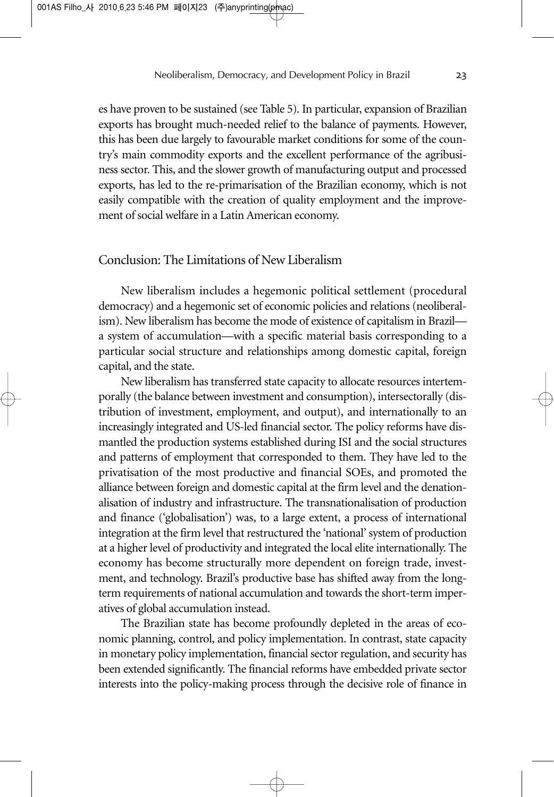es have proven to be sustained (see Table 5). In particular, expansion of Brazilian exports has brought much-needed relief to the balance of payments. However, this has been due largely to favourable market conditions for some of the country's main commodity exports and the excellent performance of the agribusiness sector. This, and the slower growth of manufacturing output and processed exports, has led to the re-primarisation of the Brazilian economy, which is not easily compatible with the creation of quality employment and the improvement of social welfare in a Latin American economy.

## Conclusion: The Limitations of New Liberalism

New liberalism includes a hegemonic political settlement (procedural democracy) and a hegemonic set of economic policies and relations (neoliberalism). New liberalism has become the mode of existence of capitalism in Brazil a system of accumulation—with a specific material basis corresponding to a particular social structure and relationships among domestic capital, foreign capital, and the state.

New liberalism has transferred state capacity to allocate resources intertemporally (the balance between investment and consumption), intersectorally (distribution of investment, employment, and output), and internationally to an increasingly integrated and US-led financial sector. The policy reforms have dismantled the production systems established during ISI and the social structures and patterns of employment that corresponded to them. They have led to the privatisation of the most productive and financial SOEs, and promoted the alliance between foreign and domestic capital at the firm level and the denationalisation of industry and infrastructure. The transnationalisation of production and finance ('globalisation') was, to a large extent, a process of international integration at the firm level that restructured the 'national' system of production at a higher level of productivity and integrated the local elite internationally. The economy has become structurally more dependent on foreign trade, investment, and technology. Brazil's productive base has shifted away from the longterm requirements of national accumulation and towards the short-term imperatives of global accumulation instead.

The Brazilian state has become profoundly depleted in the areas of economic planning, control, and policy implementation. In contrast, state capacity in monetary policy implementation, financial sector regulation, and security has been extended significantly. The financial reforms have embedded private sector interests into the policy-making process through the decisive role of finance in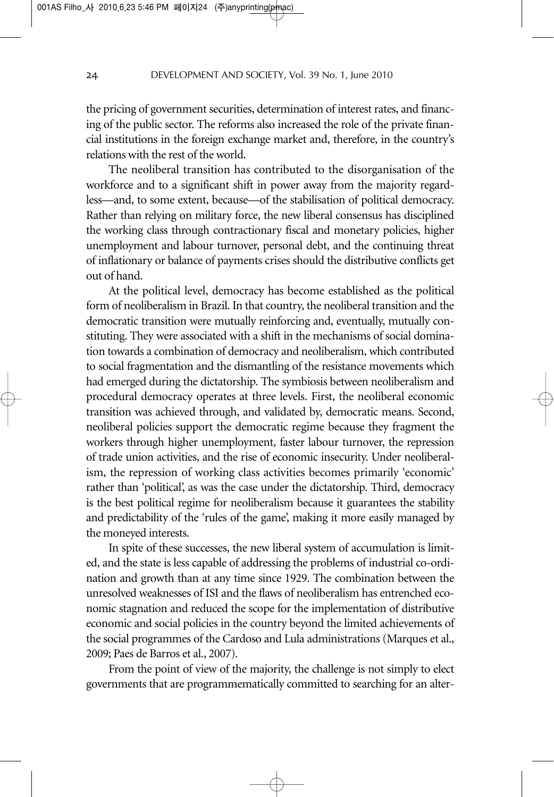the pricing of government securities, determination of interest rates, and financing of the public sector. The reforms also increased the role of the private financial institutions in the foreign exchange market and, therefore, in the country's relations with the rest of the world.

The neoliberal transition has contributed to the disorganisation of the workforce and to a significant shift in power away from the majority regardless—and, to some extent, because—of the stabilisation of political democracy. Rather than relying on military force, the new liberal consensus has disciplined the working class through contractionary fiscal and monetary policies, higher unemployment and labour turnover, personal debt, and the continuing threat of inflationary or balance of payments crises should the distributive conflicts get out of hand.

At the political level, democracy has become established as the political form of neoliberalism in Brazil. In that country, the neoliberal transition and the democratic transition were mutually reinforcing and, eventually, mutually constituting. They were associated with a shift in the mechanisms of social domination towards a combination of democracy and neoliberalism, which contributed to social fragmentation and the dismantling of the resistance movements which had emerged during the dictatorship. The symbiosis between neoliberalism and procedural democracy operates at three levels. First, the neoliberal economic transition was achieved through, and validated by, democratic means. Second, neoliberal policies support the democratic regime because they fragment the workers through higher unemployment, faster labour turnover, the repression of trade union activities, and the rise of economic insecurity. Under neoliberalism, the repression of working class activities becomes primarily 'economic' rather than 'political', as was the case under the dictatorship. Third, democracy is the best political regime for neoliberalism because it guarantees the stability and predictability of the 'rules of the game', making it more easily managed by the moneyed interests.

In spite of these successes, the new liberal system of accumulation is limited, and the state is less capable of addressing the problems of industrial co-ordination and growth than at any time since 1929. The combination between the unresolved weaknesses of ISI and the flaws of neoliberalism has entrenched economic stagnation and reduced the scope for the implementation of distributive economic and social policies in the country beyond the limited achievements of the social programmes of the Cardoso and Lula administrations (Marques et al., 2009; Paes de Barros et al., 2007).

From the point of view of the majority, the challenge is not simply to elect governments that are programmematically committed to searching for an alter-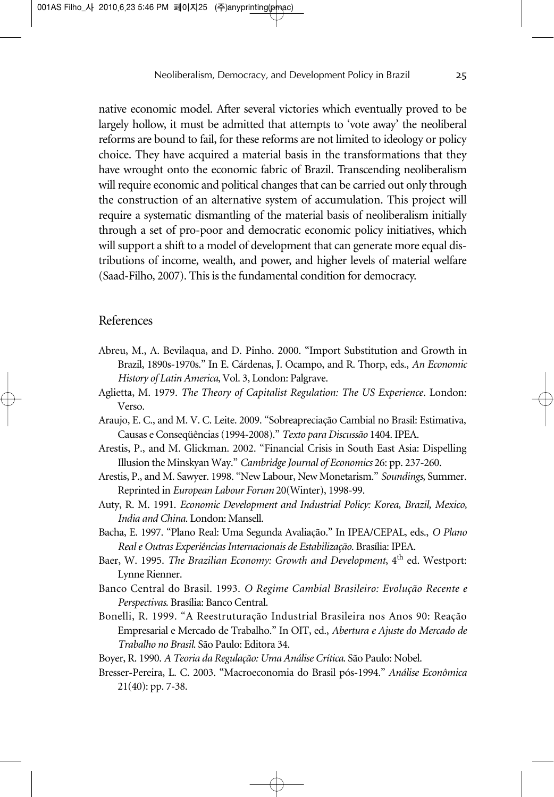native economic model. After several victories which eventually proved to be largely hollow, it must be admitted that attempts to 'vote away' the neoliberal reforms are bound to fail, for these reforms are not limited to ideology or policy choice. They have acquired a material basis in the transformations that they have wrought onto the economic fabric of Brazil. Transcending neoliberalism will require economic and political changes that can be carried out only through the construction of an alternative system of accumulation. This project will require a systematic dismantling of the material basis of neoliberalism initially through a set of pro-poor and democratic economic policy initiatives, which will support a shift to a model of development that can generate more equal distributions of income, wealth, and power, and higher levels of material welfare (Saad-Filho, 2007). This is the fundamental condition for democracy.

# References

- Abreu, M., A. Bevilaqua, and D. Pinho. 2000. "Import Substitution and Growth in Brazil, 1890s-1970s." In E. Cárdenas, J. Ocampo, and R. Thorp, eds., *An Economic History of Latin America*, Vol. 3, London: Palgrave.
- Aglietta, M. 1979. *The Theory of Capitalist Regulation: The US Experience*. London: Verso.
- Araujo, E. C., and M. V. C. Leite. 2009. "Sobreapreciação Cambial no Brasil: Estimativa, Causas e Conseqüências (1994-2008)." *Texto para Discussão* 1404. IPEA.
- Arestis, P., and M. Glickman. 2002. "Financial Crisis in South East Asia: Dispelling Illusion the Minskyan Way." *Cambridge Journal of Economics* 26: pp. 237-260.
- Arestis, P., and M. Sawyer. 1998. "New Labour, New Monetarism." *Soundings*, Summer. Reprinted in *European Labour Forum* 20(Winter), 1998-99.
- Auty, R. M. 1991. *Economic Development and Industrial Policy: Korea, Brazil, Mexico, India and China*. London: Mansell.
- Bacha, E. 1997. "Plano Real: Uma Segunda Avaliação." In IPEA/CEPAL, eds., *O Plano Real e Outras Experiências Internacionais de Estabilização*. Brasília: IPEA.
- Baer, W. 1995. *The Brazilian Economy: Growth and Development*, 4<sup>th</sup> ed. Westport: Lynne Rienner.
- Banco Central do Brasil. 1993. *O Regime Cambial Brasileiro: Evolução Recente e Perspectivas*. Brasília: Banco Central.
- Bonelli, R. 1999. "A Reestruturação Industrial Brasileira nos Anos 90: Reação Empresarial e Mercado de Trabalho." In OIT, ed., *Abertura e Ajuste do Mercado de Trabalho no Brasil*. São Paulo: Editora 34.
- Boyer, R. 1990. *A Teoria da Regulação: Uma Análise Crítica*. São Paulo: Nobel.
- Bresser-Pereira, L. C. 2003. "Macroeconomia do Brasil pós-1994." *Análise Econômica* 21(40): pp. 7-38.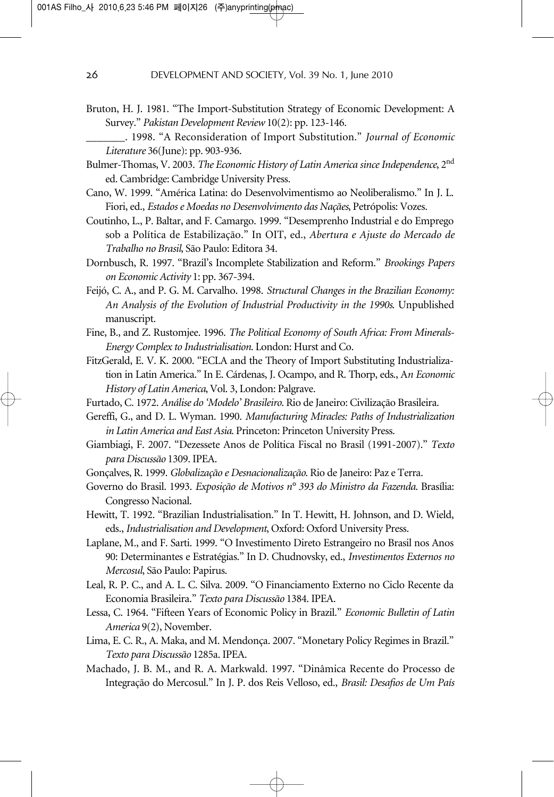- Bruton, H. J. 1981. "The Import-Substitution Strategy of Economic Development: A Survey." *Pakistan Development Review* 10(2): pp. 123-146.
	- \_\_\_\_\_\_\_. 1998. "A Reconsideration of Import Substitution." *Journal of Economic Literature* 36(June): pp. 903-936.
- Bulmer-Thomas, V. 2003. *The Economic History of Latin America since Independence*, 2nd ed. Cambridge: Cambridge University Press.
- Cano, W. 1999. "América Latina: do Desenvolvimentismo ao Neoliberalismo." In J. L. Fiori, ed., *Estados e Moedas no Desenvolvimento das Naçães*, Petrópolis: Vozes.
- Coutinho, L., P. Baltar, and F. Camargo. 1999. "Desemprenho Industrial e do Emprego sob a Política de Estabilização." In OIT, ed., *Abertura e Ajuste do Mercado de Trabalho no Brasil*, São Paulo: Editora 34.
- Dornbusch, R. 1997. "Brazil's Incomplete Stabilization and Reform." *Brookings Papers on Economic Activity* 1: pp. 367-394.
- Feijó, C. A., and P. G. M. Carvalho. 1998. *Structural Changes in the Brazilian Economy: An Analysis of the Evolution of Industrial Productivity in the 1990s*. Unpublished manuscript.
- Fine, B., and Z. Rustomjee. 1996. *The Political Economy of South Africa: From Minerals-Energy Complex to Industrialisation*. London: Hurst and Co.
- FitzGerald, E. V. K. 2000. "ECLA and the Theory of Import Substituting Industrialization in Latin America." In E. Cárdenas, J. Ocampo, and R. Thorp, eds., A*n Economic History of Latin America*, Vol. 3, London: Palgrave.
- Furtado, C. 1972. *Análise do 'Modelo' Brasileiro*. Rio de Janeiro: Civilização Brasileira.
- Gereffi, G., and D. L. Wyman. 1990. *Manufacturing Miracles: Paths of Industrialization in Latin America and East Asia*. Princeton: Princeton University Press.
- Giambiagi, F. 2007. "Dezessete Anos de Política Fiscal no Brasil (1991-2007)." *Texto para Discussão* 1309. IPEA.
- Gonçalves, R. 1999. *Globalização e Desnacionalização*. Rio de Janeiro: Paz e Terra.
- Governo do Brasil. 1993. *Exposição de Motivos n° 393 do Ministro da Fazenda*. Brasília: Congresso Nacional.
- Hewitt, T. 1992. "Brazilian Industrialisation." In T. Hewitt, H. Johnson, and D. Wield, eds., *Industrialisation and Development*, Oxford: Oxford University Press.
- Laplane, M., and F. Sarti. 1999. "O Investimento Direto Estrangeiro no Brasil nos Anos 90: Determinantes e Estratégias." In D. Chudnovsky, ed., *Investimentos Externos no Mercosul*, São Paulo: Papirus.
- Leal, R. P. C., and A. L. C. Silva. 2009. "O Financiamento Externo no Ciclo Recente da Economia Brasileira." *Texto para Discussão* 1384. IPEA.
- Lessa, C. 1964. "Fifteen Years of Economic Policy in Brazil." *Economic Bulletin of Latin America* 9(2), November.
- Lima, E. C. R., A. Maka, and M. Mendonça. 2007. "Monetary Policy Regimes in Brazil." *Texto para Discussão* 1285a. IPEA.
- Machado, J. B. M., and R. A. Markwald. 1997. "Dinâmica Recente do Processo de Integração do Mercosul." In J. P. dos Reis Velloso, ed., *Brasil: Desafios de Um País*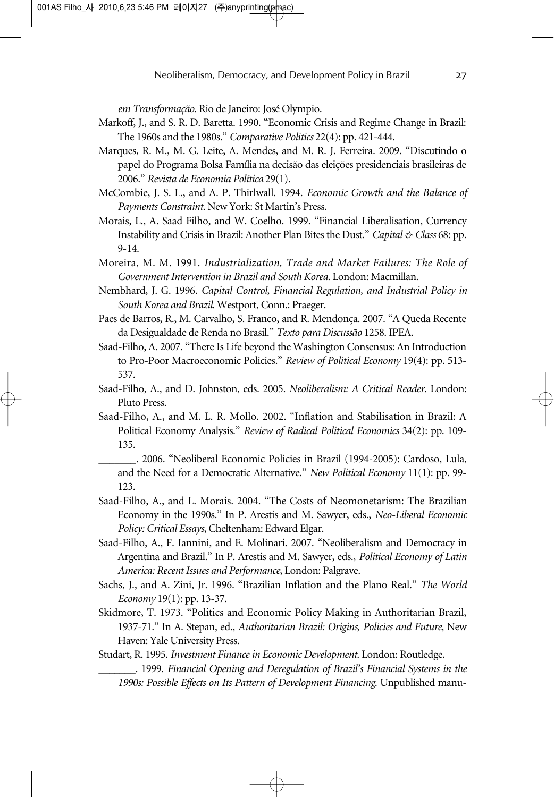*em Transformação*. Rio de Janeiro: José Olympio.

- Markoff, J., and S. R. D. Baretta. 1990. "Economic Crisis and Regime Change in Brazil: The 1960s and the 1980s." *Comparative Politics* 22(4): pp. 421-444.
- Marques, R. M., M. G. Leite, A. Mendes, and M. R. J. Ferreira. 2009. "Discutindo o papel do Programa Bolsa Família na decisão das eleições presidenciais brasileiras de 2006." *Revista de Economia Política* 29(1).
- McCombie, J. S. L., and A. P. Thirlwall. 1994. *Economic Growth and the Balance of Payments Constraint*. New York: St Martin's Press.
- Morais, L., A. Saad Filho, and W. Coelho. 1999. "Financial Liberalisation, Currency Instability and Crisis in Brazil: Another Plan Bites the Dust." *Capital & Class* 68: pp. 9-14.
- Moreira, M. M. 1991. *Industrialization, Trade and Market Failures: The Role of Government Intervention in Brazil and South Korea*. London: Macmillan.
- Nembhard, J. G. 1996. *Capital Control, Financial Regulation, and Industrial Policy in South Korea and Brazil*. Westport, Conn.: Praeger.
- Paes de Barros, R., M. Carvalho, S. Franco, and R. Mendonça. 2007. "A Queda Recente da Desigualdade de Renda no Brasil." *Texto para Discussão* 1258. IPEA.
- Saad-Filho, A. 2007. "There Is Life beyond the Washington Consensus: An Introduction to Pro-Poor Macroeconomic Policies." *Review of Political Economy* 19(4): pp. 513- 537.
- Saad-Filho, A., and D. Johnston, eds. 2005. *Neoliberalism: A Critical Reader*. London: Pluto Press.
- Saad-Filho, A., and M. L. R. Mollo. 2002. "Inflation and Stabilisation in Brazil: A Political Economy Analysis." *Review of Radical Political Economics* 34(2): pp. 109- 135.
- \_\_\_\_\_\_\_. 2006. "Neoliberal Economic Policies in Brazil (1994-2005): Cardoso, Lula, and the Need for a Democratic Alternative." *New Political Economy* 11(1): pp. 99- 123.
- Saad-Filho, A., and L. Morais. 2004. "The Costs of Neomonetarism: The Brazilian Economy in the 1990s." In P. Arestis and M. Sawyer, eds., *Neo-Liberal Economic Policy: Critical Essays*, Cheltenham: Edward Elgar.
- Saad-Filho, A., F. Iannini, and E. Molinari. 2007. "Neoliberalism and Democracy in Argentina and Brazil." In P. Arestis and M. Sawyer, eds., *Political Economy of Latin America: Recent Issues and Performance*, London: Palgrave.
- Sachs, J., and A. Zini, Jr. 1996. "Brazilian Inflation and the Plano Real." *The World Economy* 19(1): pp. 13-37.
- Skidmore, T. 1973. "Politics and Economic Policy Making in Authoritarian Brazil, 1937-71." In A. Stepan, ed., *Authoritarian Brazil: Origins, Policies and Future*, New Haven: Yale University Press.
- Studart, R. 1995. *Investment Finance in Economic Development*. London: Routledge. \_\_\_\_\_\_\_. 1999. *Financial Opening and Deregulation of Brazil's Financial Systems in the*
	- *1990s: Possible Effects on Its Pattern of Development Financing*. Unpublished manu-